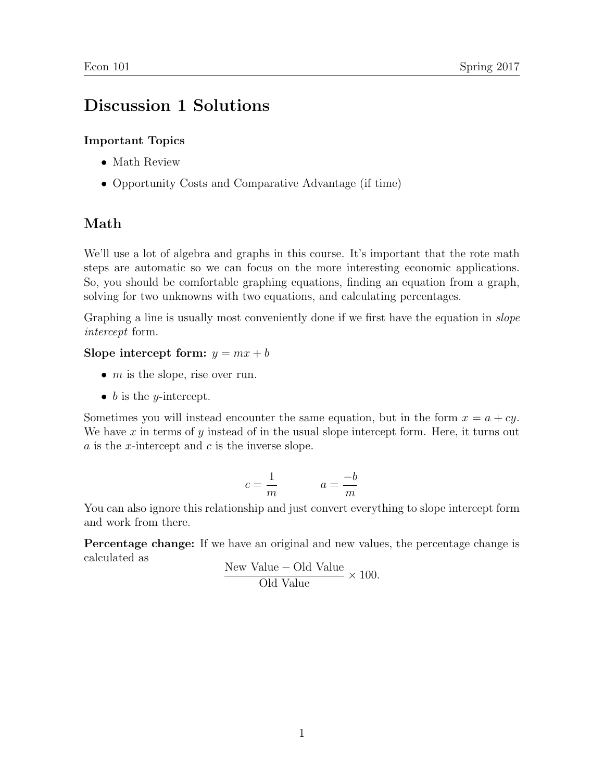# Discussion 1 Solutions

### Important Topics

- Math Review
- Opportunity Costs and Comparative Advantage (if time)

## Math

We'll use a lot of algebra and graphs in this course. It's important that the rote math steps are automatic so we can focus on the more interesting economic applications. So, you should be comfortable graphing equations, finding an equation from a graph, solving for two unknowns with two equations, and calculating percentages.

Graphing a line is usually most conveniently done if we first have the equation in *slope* intercept form.

### Slope intercept form:  $y = mx + b$

- $m$  is the slope, rise over run.
- $\bullet$  b is the *y*-intercept.

Sometimes you will instead encounter the same equation, but in the form  $x = a + cy$ . We have  $x$  in terms of  $y$  instead of in the usual slope intercept form. Here, it turns out  $a$  is the *x*-intercept and  $c$  is the inverse slope.

$$
c = \frac{1}{m} \qquad \qquad a = \frac{-b}{m}
$$

You can also ignore this relationship and just convert everything to slope intercept form and work from there.

Percentage change: If we have an original and new values, the percentage change is calculated as

New Value – Old Value 
$$
\times
$$
 100. Old Value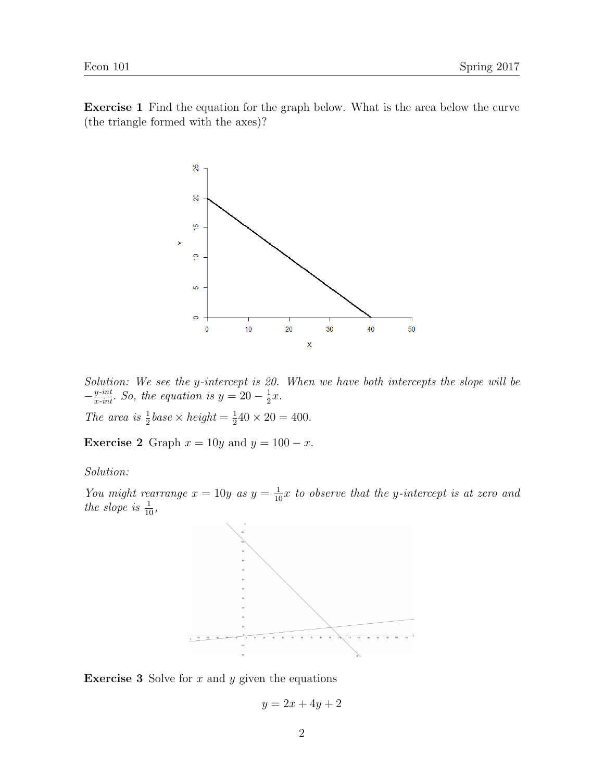Exercise 1 Find the equation for the graph below. What is the area below the curve (the triangle formed with the axes)?



Solution: We see the y-intercept is 20. When we have both intercepts the slope will be  $-\frac{y\cdot int}{x\cdot int}$ . So, the equation is  $y = 20 - \frac{1}{2}$  $rac{1}{2}x$ .

The area is  $\frac{1}{2}$ base  $\times$  height  $=\frac{1}{2}$  $\frac{1}{2}40 \times 20 = 400.$ 

**Exercise 2** Graph  $x = 10y$  and  $y = 100 - x$ .

Solution:

You might rearrange  $x = 10y$  as  $y = \frac{1}{10}x$  to observe that the y-intercept is at zero and the slope is  $\frac{1}{10}$ ,



**Exercise 3** Solve for  $x$  and  $y$  given the equations

 $y = 2x + 4y + 2$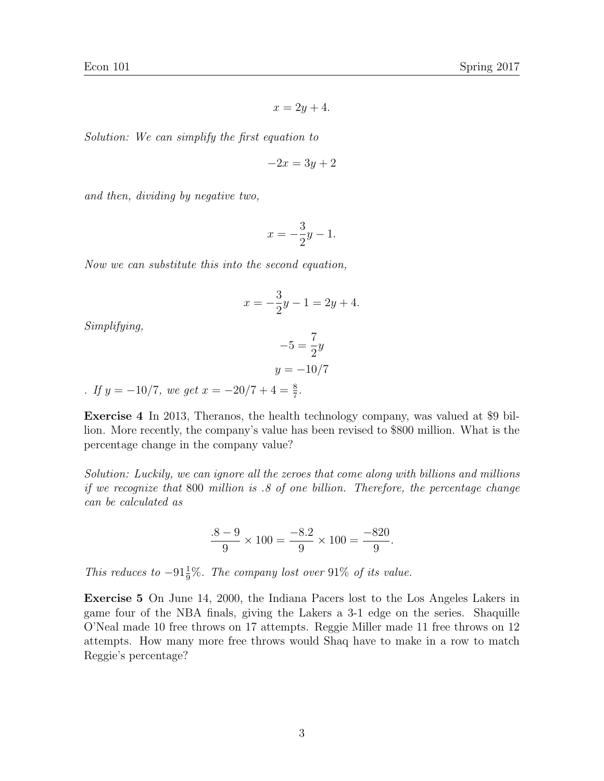$$
x = 2y + 4.
$$

Solution: We can simplify the first equation to

$$
-2x = 3y + 2
$$

and then, dividing by negative two,

$$
x = -\frac{3}{2}y - 1.
$$

Now we can substitute this into the second equation,

$$
x = -\frac{3}{2}y - 1 = 2y + 4.
$$

Simplifying,

$$
-5 = \frac{7}{2}y
$$

$$
y = -10/7
$$

. If  $y = -10/7$ , we get  $x = -20/7 + 4 = \frac{8}{7}$ .

Exercise 4 In 2013, Theranos, the health technology company, was valued at \$9 billion. More recently, the company's value has been revised to \$800 million. What is the percentage change in the company value?

Solution: Luckily, we can ignore all the zeroes that come along with billions and millions if we recognize that 800 million is .8 of one billion. Therefore, the percentage change can be calculated as

$$
\frac{.8 - 9}{9} \times 100 = \frac{-8.2}{9} \times 100 = \frac{-820}{9}.
$$

This reduces to  $-91\frac{1}{9}\%$ . The company lost over 91% of its value.

Exercise 5 On June 14, 2000, the Indiana Pacers lost to the Los Angeles Lakers in game four of the NBA finals, giving the Lakers a 3-1 edge on the series. Shaquille O'Neal made 10 free throws on 17 attempts. Reggie Miller made 11 free throws on 12 attempts. How many more free throws would Shaq have to make in a row to match Reggie's percentage?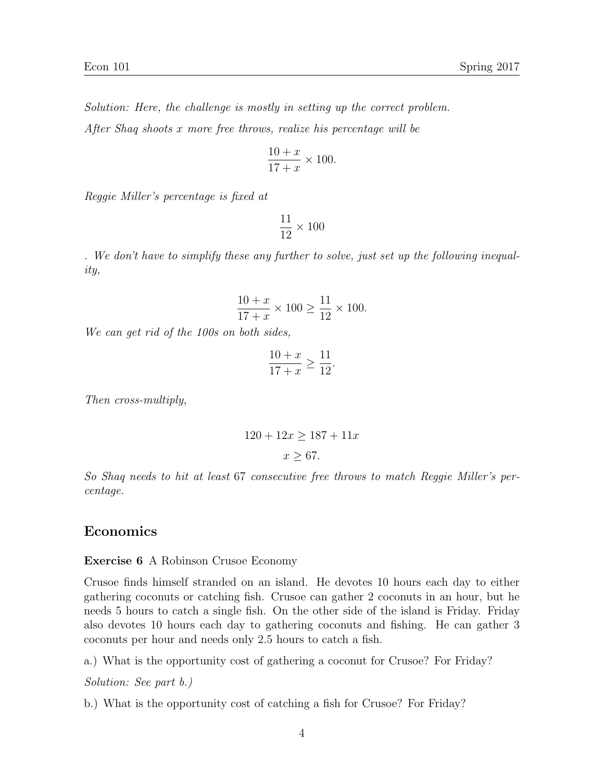Solution: Here, the challenge is mostly in setting up the correct problem. After Shaq shoots x more free throws, realize his percentage will be

$$
\frac{10+x}{17+x} \times 100.
$$

Reggie Miller's percentage is fixed at

$$
\frac{11}{12} \times 100
$$

. We don't have to simplify these any further to solve, just set up the following inequality,

$$
\frac{10+x}{17+x} \times 100 \ge \frac{11}{12} \times 100.
$$

We can get rid of the 100s on both sides,

$$
\frac{10+x}{17+x} \ge \frac{11}{12}.
$$

Then cross-multiply,

$$
120 + 12x \ge 187 + 11x
$$

$$
x \ge 67.
$$

So Shaq needs to hit at least 67 consecutive free throws to match Reggie Miller's percentage.

#### Economics

Exercise 6 A Robinson Crusoe Economy

Crusoe finds himself stranded on an island. He devotes 10 hours each day to either gathering coconuts or catching fish. Crusoe can gather 2 coconuts in an hour, but he needs 5 hours to catch a single fish. On the other side of the island is Friday. Friday also devotes 10 hours each day to gathering coconuts and fishing. He can gather 3 coconuts per hour and needs only 2.5 hours to catch a fish.

a.) What is the opportunity cost of gathering a coconut for Crusoe? For Friday?

Solution: See part b.)

b.) What is the opportunity cost of catching a fish for Crusoe? For Friday?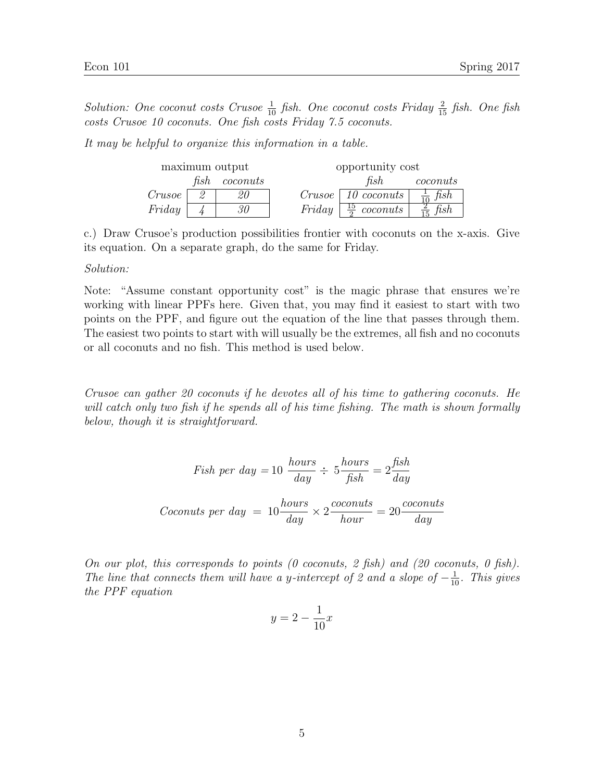Solution: One coconut costs Crusoe  $\frac{1}{10}$  fish. One coconut costs Friday  $\frac{2}{15}$  fish. One fish costs Crusoe 10 coconuts. One fish costs Friday 7.5 coconuts.

It may be helpful to organize this information in a table.

| maximum output |      |          | opportunity cost |                                |                     |
|----------------|------|----------|------------------|--------------------------------|---------------------|
|                | fish | coconuts |                  | fish                           | coconuts            |
| Crusoe         |      | 20       |                  | $Crusoe$   10 coconuts         | $\frac{1}{10}$ fish |
| Friday         |      | 30       |                  | Friday $\frac{15}{2}$ coconuts | $rac{2}{15}$ fish   |

c.) Draw Crusoe's production possibilities frontier with coconuts on the x-axis. Give its equation. On a separate graph, do the same for Friday.

#### Solution:

Note: "Assume constant opportunity cost" is the magic phrase that ensures we're working with linear PPFs here. Given that, you may find it easiest to start with two points on the PPF, and figure out the equation of the line that passes through them. The easiest two points to start with will usually be the extremes, all fish and no coconuts or all coconuts and no fish. This method is used below.

Crusoe can gather 20 coconuts if he devotes all of his time to gathering coconuts. He will catch only two fish if he spends all of his time fishing. The math is shown formally below, though it is straightforward.

Fish per day = 
$$
10 \frac{hours}{day} \div 5 \frac{hours}{fish} = 2 \frac{fish}{day}
$$

\nCoconuts per day = 
$$
10 \frac{hours}{day} \times 2 \frac{coconuts}{hour} = 20 \frac{coconuts}{day}
$$

On our plot, this corresponds to points (0 coconuts, 2 fish) and (20 coconuts, 0 fish). The line that connects them will have a y-intercept of 2 and a slope of  $-\frac{1}{10}$ . This gives the PPF equation

$$
y = 2 - \frac{1}{10}x
$$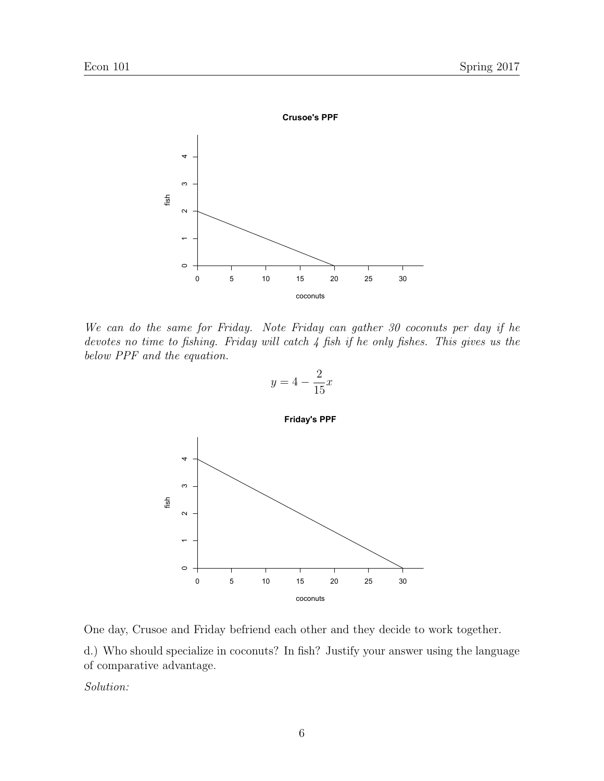

We can do the same for Friday. Note Friday can gather 30 coconuts per day if he devotes no time to fishing. Friday will catch 4 fish if he only fishes. This gives us the below PPF and the equation.



One day, Crusoe and Friday befriend each other and they decide to work together.

d.) Who should specialize in coconuts? In fish? Justify your answer using the language of comparative advantage.

Solution: